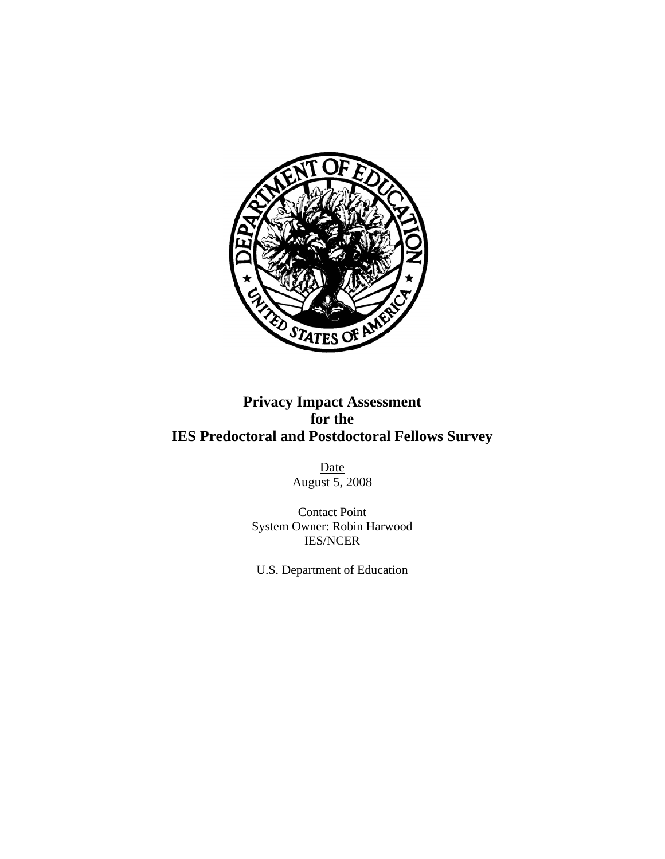

# **Privacy Impact Assessment for the IES Predoctoral and Postdoctoral Fellows Survey**

Date August 5, 2008

Contact Point System Owner: Robin Harwood IES/NCER

U.S. Department of Education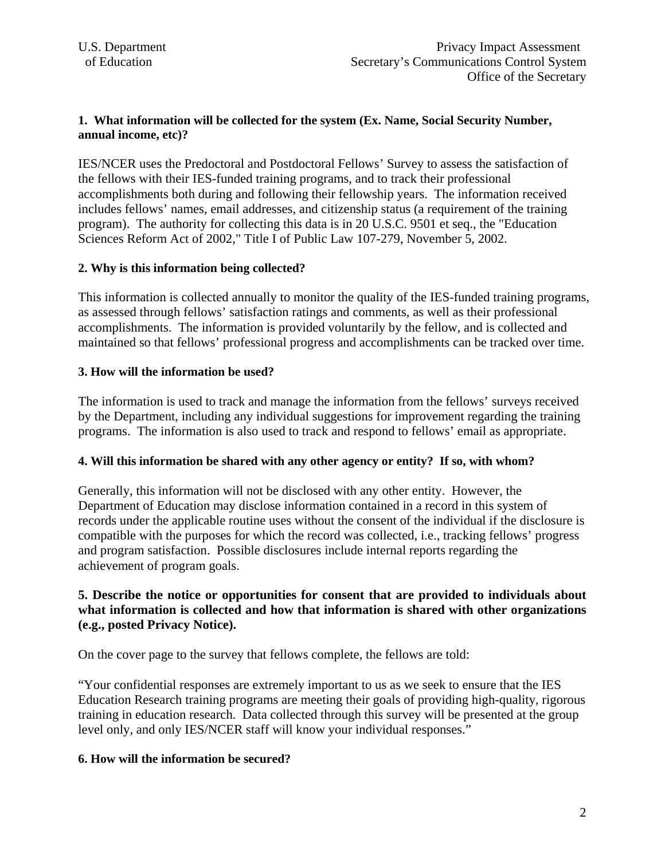## **1. What information will be collected for the system (Ex. Name, Social Security Number, annual income, etc)?**

IES/NCER uses the Predoctoral and Postdoctoral Fellows' Survey to assess the satisfaction of the fellows with their IES-funded training programs, and to track their professional accomplishments both during and following their fellowship years. The information received includes fellows' names, email addresses, and citizenship status (a requirement of the training program). The authority for collecting this data is in 20 U.S.C. 9501 et seq., the "Education Sciences Reform Act of 2002," Title I of Public Law 107-279, November 5, 2002.

# **2. Why is this information being collected?**

This information is collected annually to monitor the quality of the IES-funded training programs, as assessed through fellows' satisfaction ratings and comments, as well as their professional accomplishments. The information is provided voluntarily by the fellow, and is collected and maintained so that fellows' professional progress and accomplishments can be tracked over time.

# **3. How will the information be used?**

The information is used to track and manage the information from the fellows' surveys received by the Department, including any individual suggestions for improvement regarding the training programs. The information is also used to track and respond to fellows' email as appropriate.

#### **4. Will this information be shared with any other agency or entity? If so, with whom?**

Generally, this information will not be disclosed with any other entity. However, the Department of Education may disclose information contained in a record in this system of records under the applicable routine uses without the consent of the individual if the disclosure is compatible with the purposes for which the record was collected, i.e., tracking fellows' progress and program satisfaction. Possible disclosures include internal reports regarding the achievement of program goals.

# **5. Describe the notice or opportunities for consent that are provided to individuals about what information is collected and how that information is shared with other organizations (e.g., posted Privacy Notice).**

On the cover page to the survey that fellows complete, the fellows are told:

"Your confidential responses are extremely important to us as we seek to ensure that the IES Education Research training programs are meeting their goals of providing high-quality, rigorous training in education research. Data collected through this survey will be presented at the group level only, and only IES/NCER staff will know your individual responses."

#### **6. How will the information be secured?**